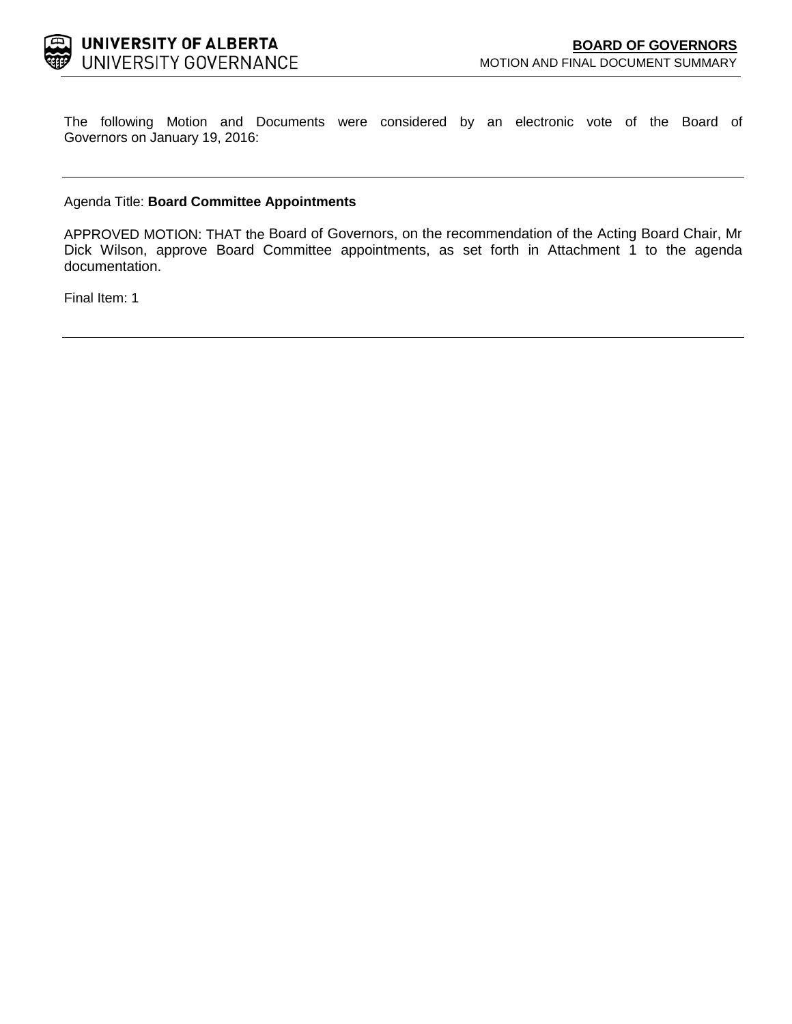

The following Motion and Documents were considered by an electronic vote of the Board of Governors on January 19, 2016:

# Agenda Title: **Board Committee Appointments**

APPROVED MOTION: THAT the Board of Governors, on the recommendation of the Acting Board Chair, Mr Dick Wilson, approve Board Committee appointments, as set forth in Attachment 1 to the agenda documentation.

Final Item: 1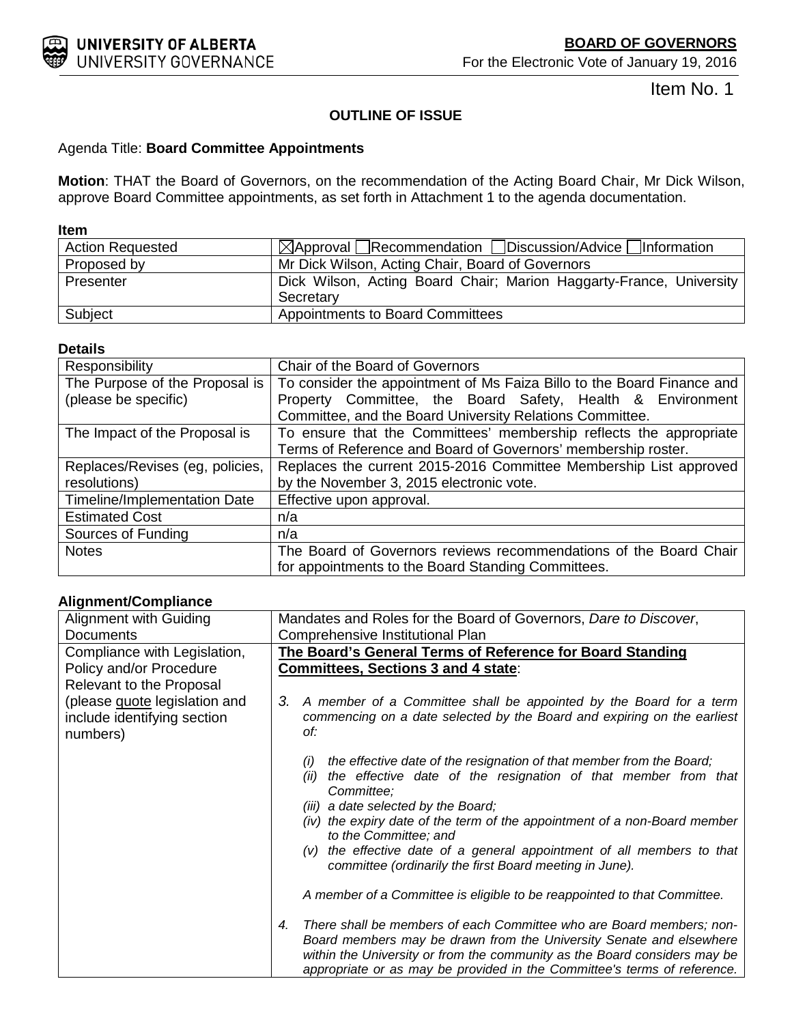

Item No. 1

# **OUTLINE OF ISSUE**

# Agenda Title: **Board Committee Appointments**

**Motion**: THAT the Board of Governors, on the recommendation of the Acting Board Chair, Mr Dick Wilson, approve Board Committee appointments, as set forth in Attachment 1 to the agenda documentation.

## **Item**

| <b>Action Requested</b> | $\boxtimes$ Approval Recommendation Discussion/Advice Information   |
|-------------------------|---------------------------------------------------------------------|
| Proposed by             | Mr Dick Wilson, Acting Chair, Board of Governors                    |
| Presenter               | Dick Wilson, Acting Board Chair; Marion Haggarty-France, University |
|                         | Secretary                                                           |
| Subject                 | <b>Appointments to Board Committees</b>                             |

# **Details**

| Responsibility                  | Chair of the Board of Governors                                        |
|---------------------------------|------------------------------------------------------------------------|
| The Purpose of the Proposal is  | To consider the appointment of Ms Faiza Billo to the Board Finance and |
| (please be specific)            | Property Committee, the Board Safety, Health & Environment             |
|                                 | Committee, and the Board University Relations Committee.               |
| The Impact of the Proposal is   | To ensure that the Committees' membership reflects the appropriate     |
|                                 | Terms of Reference and Board of Governors' membership roster.          |
| Replaces/Revises (eg, policies, | Replaces the current 2015-2016 Committee Membership List approved      |
| resolutions)                    | by the November 3, 2015 electronic vote.                               |
| Timeline/Implementation Date    | Effective upon approval.                                               |
| <b>Estimated Cost</b>           | n/a                                                                    |
| Sources of Funding              | n/a                                                                    |
| <b>Notes</b>                    | The Board of Governors reviews recommendations of the Board Chair      |
|                                 | for appointments to the Board Standing Committees.                     |

# **Alignment/Compliance**

| Alignment with Guiding                                                   | Mandates and Roles for the Board of Governors, Dare to Discover,                                                                                                                                                                                                                                           |
|--------------------------------------------------------------------------|------------------------------------------------------------------------------------------------------------------------------------------------------------------------------------------------------------------------------------------------------------------------------------------------------------|
| Documents                                                                | Comprehensive Institutional Plan                                                                                                                                                                                                                                                                           |
| Compliance with Legislation,                                             | The Board's General Terms of Reference for Board Standing                                                                                                                                                                                                                                                  |
| Policy and/or Procedure                                                  | <b>Committees, Sections 3 and 4 state:</b>                                                                                                                                                                                                                                                                 |
| Relevant to the Proposal                                                 |                                                                                                                                                                                                                                                                                                            |
| (please guote legislation and<br>include identifying section<br>numbers) | A member of a Committee shall be appointed by the Board for a term<br>3.<br>commencing on a date selected by the Board and expiring on the earliest<br>of:                                                                                                                                                 |
|                                                                          | the effective date of the resignation of that member from the Board;<br>(i)<br>(ii) the effective date of the resignation of that member from that<br>Committee;<br>(iii) a date selected by the Board;                                                                                                    |
|                                                                          | (iv) the expiry date of the term of the appointment of a non-Board member<br>to the Committee; and                                                                                                                                                                                                         |
|                                                                          | $(v)$ the effective date of a general appointment of all members to that<br>committee (ordinarily the first Board meeting in June).                                                                                                                                                                        |
|                                                                          | A member of a Committee is eligible to be reappointed to that Committee.                                                                                                                                                                                                                                   |
|                                                                          | There shall be members of each Committee who are Board members; non-<br>4.<br>Board members may be drawn from the University Senate and elsewhere<br>within the University or from the community as the Board considers may be<br>appropriate or as may be provided in the Committee's terms of reference. |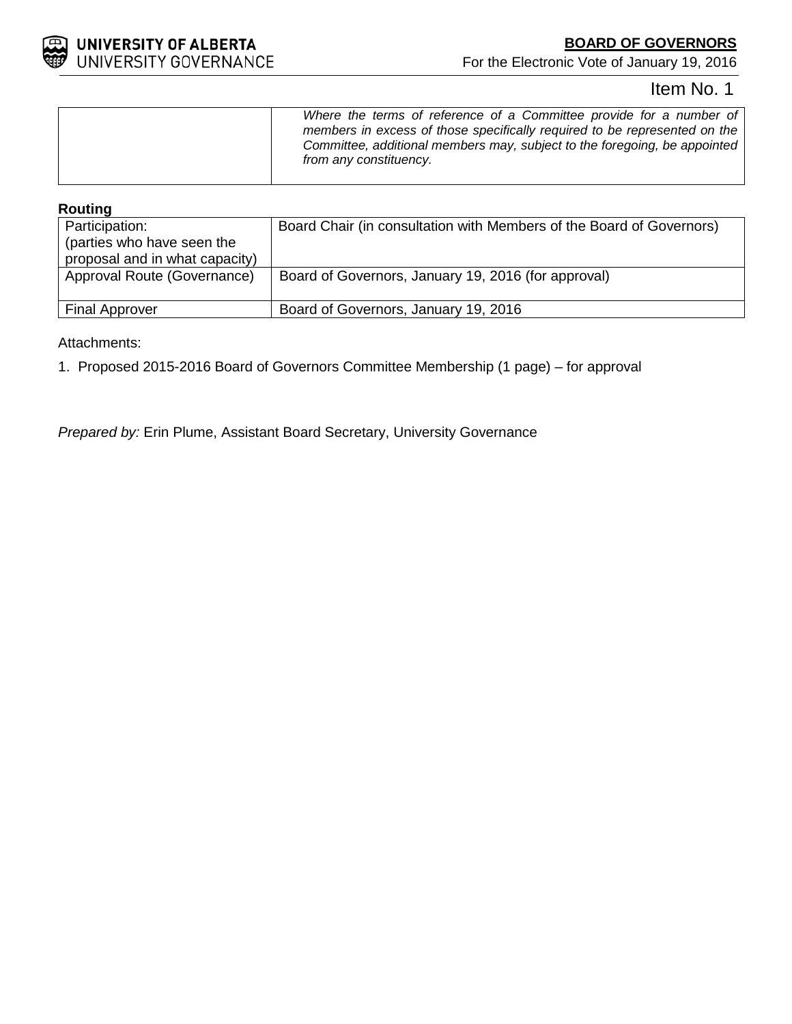

For the Electronic Vote of January 19, 2016

# Item No. 1

# **Routing**

| Participation:<br>(parties who have seen the<br>proposal and in what capacity) | Board Chair (in consultation with Members of the Board of Governors) |
|--------------------------------------------------------------------------------|----------------------------------------------------------------------|
| Approval Route (Governance)                                                    | Board of Governors, January 19, 2016 (for approval)                  |
| <b>Final Approver</b>                                                          | Board of Governors, January 19, 2016                                 |

Attachments:

1. Proposed 2015-2016 Board of Governors Committee Membership (1 page) – for approval

*Prepared by:* Erin Plume, Assistant Board Secretary, University Governance